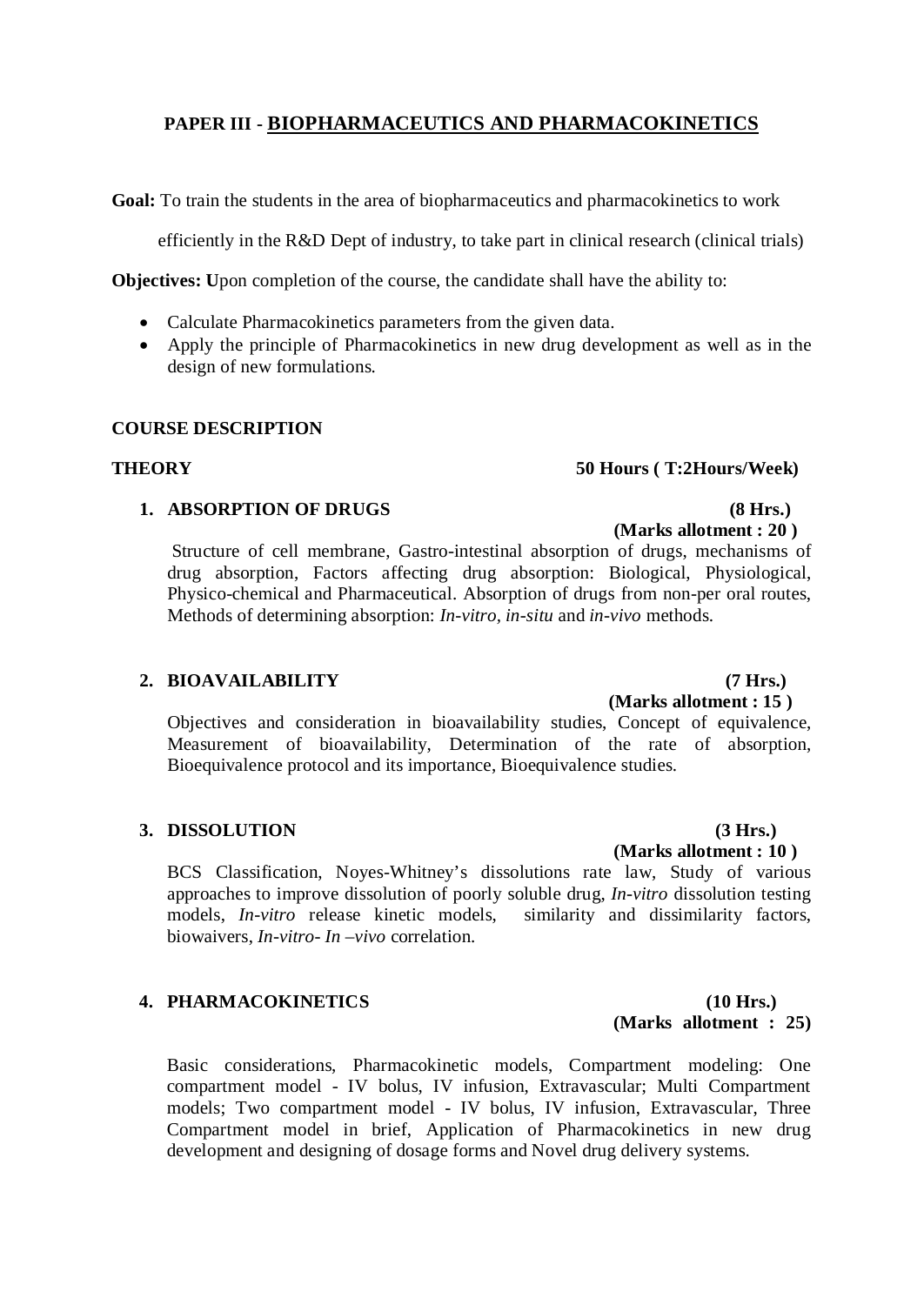# **PAPER III - BIOPHARMACEUTICS AND PHARMACOKINETICS**

**Goal:** To train the students in the area of biopharmaceutics and pharmacokinetics to work

efficiently in the R&D Dept of industry, to take part in clinical research (clinical trials)

**Objectives:** Upon completion of the course, the candidate shall have the ability to:

- Calculate Pharmacokinetics parameters from the given data.
- Apply the principle of Pharmacokinetics in new drug development as well as in the design of new formulations.

### **COURSE DESCRIPTION**

### **THEORY 50 Hours ( T:2Hours/Week)**

### **1. ABSORPTION OF DRUGS (8 Hrs.)**

Structure of cell membrane, Gastro-intestinal absorption of drugs, mechanisms of drug absorption, Factors affecting drug absorption: Biological, Physiological, Physico-chemical and Pharmaceutical. Absorption of drugs from non-per oral routes, Methods of determining absorption: *In-vitro, in-situ* and *in-vivo* methods.

### **2. BIOAVAILABILITY (7 Hrs.)**

Objectives and consideration in bioavailability studies, Concept of equivalence, Measurement of bioavailability, Determination of the rate of absorption, Bioequivalence protocol and its importance, Bioequivalence studies.

### **3. DISSOLUTION (3 Hrs.)**

**(Marks allotment : 10 )** BCS Classification, Noyes-Whitney's dissolutions rate law, Study of various approaches to improve dissolution of poorly soluble drug, *In-vitro* dissolution testing models, *In-vitro* release kinetic models, similarity and dissimilarity factors, biowaivers, *In-vitro- In –vivo* correlation.

### **4. PHARMACOKINETICS (10 Hrs.)**

Basic considerations, Pharmacokinetic models, Compartment modeling: One compartment model - IV bolus, IV infusion, Extravascular; Multi Compartment models; Two compartment model - IV bolus, IV infusion, Extravascular, Three Compartment model in brief, Application of Pharmacokinetics in new drug development and designing of dosage forms and Novel drug delivery systems.

# **(Marks allotment : 25)**

### **(Marks allotment : 15 )**

### **(Marks allotment : 20 )**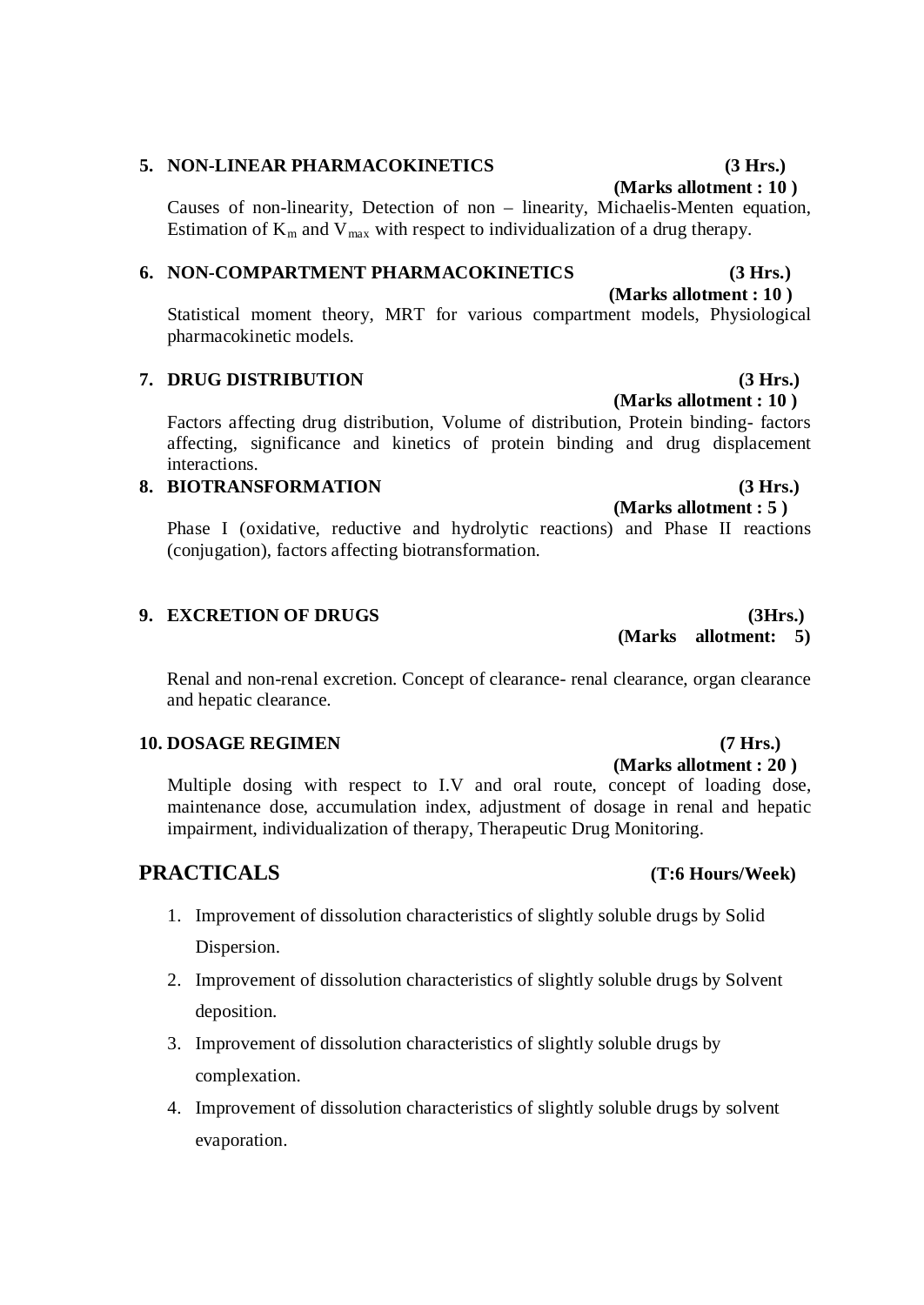## **5. NON-LINEAR PHARMACOKINETICS (3 Hrs.)**

Causes of non-linearity, Detection of non – linearity, Michaelis-Menten equation, Estimation of  $K_m$  and  $V_{max}$  with respect to individualization of a drug therapy.

### **6. NON-COMPARTMENT PHARMACOKINETICS (3 Hrs.)**

 **(Marks allotment : 10 )** Statistical moment theory, MRT for various compartment models, Physiological pharmacokinetic models.

# **7. DRUG DISTRIBUTION (3 Hrs.)**

Factors affecting drug distribution, Volume of distribution, Protein binding- factors affecting, significance and kinetics of protein binding and drug displacement interactions.

# **8. BIOTRANSFORMATION (3 Hrs.)**

**(Marks allotment : 5 )** Phase I (oxidative, reductive and hydrolytic reactions) and Phase II reactions (conjugation), factors affecting biotransformation.

### **9. EXCRETION OF DRUGS (3Hrs.)**

Renal and non-renal excretion. Concept of clearance- renal clearance, organ clearance and hepatic clearance.

# **10. DOSAGE REGIMEN (7 Hrs.)**

Multiple dosing with respect to I.V and oral route, concept of loading dose, maintenance dose, accumulation index, adjustment of dosage in renal and hepatic impairment, individualization of therapy, Therapeutic Drug Monitoring.

# **PRACTICALS (T:6 Hours/Week)**

- 1. Improvement of dissolution characteristics of slightly soluble drugs by Solid Dispersion.
- 2. Improvement of dissolution characteristics of slightly soluble drugs by Solvent deposition.
- 3. Improvement of dissolution characteristics of slightly soluble drugs by complexation.
- 4. Improvement of dissolution characteristics of slightly soluble drugs by solvent evaporation.

# **(Marks allotment : 20 )**

**(Marks allotment: 5)**

# **(Marks allotment : 10 )**

**(Marks allotment : 10 )**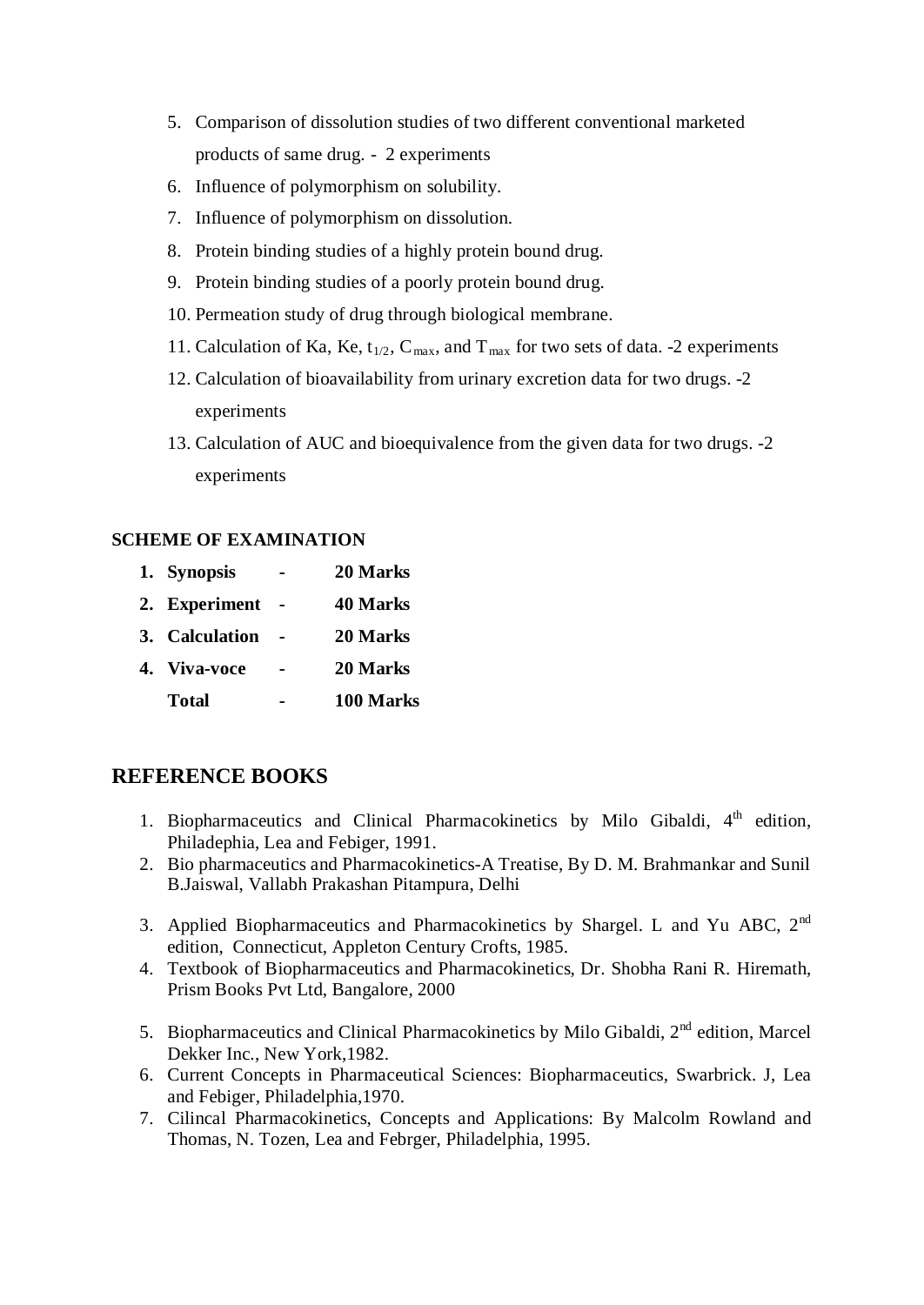- 5. Comparison of dissolution studies of two different conventional marketed products of same drug. - 2 experiments
- 6. Influence of polymorphism on solubility.
- 7. Influence of polymorphism on dissolution.
- 8. Protein binding studies of a highly protein bound drug.
- 9. Protein binding studies of a poorly protein bound drug.
- 10. Permeation study of drug through biological membrane.
- 11. Calculation of Ka, Ke,  $t_{1/2}$ , C<sub>max</sub>, and T<sub>max</sub> for two sets of data. -2 experiments
- 12. Calculation of bioavailability from urinary excretion data for two drugs. -2 experiments
- 13. Calculation of AUC and bioequivalence from the given data for two drugs. -2 experiments

### **SCHEME OF EXAMINATION**

- **1. Synopsis - 20 Marks**
- **2. Experiment - 40 Marks**
- **3. Calculation - 20 Marks**
- **4. Viva-voce - 20 Marks**
	- **Total - 100 Marks**

# **REFERENCE BOOKS**

- 1. Biopharmaceutics and Clinical Pharmacokinetics by Milo Gibaldi, 4<sup>th</sup> edition, Philadephia, Lea and Febiger, 1991.
- 2. Bio pharmaceutics and Pharmacokinetics-A Treatise, By D. M. Brahmankar and Sunil B.Jaiswal, Vallabh Prakashan Pitampura, Delhi
- 3. Applied Biopharmaceutics and Pharmacokinetics by Shargel. L and Yu ABC,  $2<sup>nd</sup>$ edition, Connecticut, Appleton Century Crofts, 1985.
- 4. Textbook of Biopharmaceutics and Pharmacokinetics, Dr. Shobha Rani R. Hiremath, Prism Books Pvt Ltd, Bangalore, 2000
- 5. Biopharmaceutics and Clinical Pharmacokinetics by Milo Gibaldi, 2<sup>nd</sup> edition, Marcel Dekker Inc., New York,1982.
- 6. Current Concepts in Pharmaceutical Sciences: Biopharmaceutics, Swarbrick. J, Lea and Febiger, Philadelphia,1970.
- 7. Cilincal Pharmacokinetics, Concepts and Applications: By Malcolm Rowland and Thomas, N. Tozen, Lea and Febrger, Philadelphia, 1995.